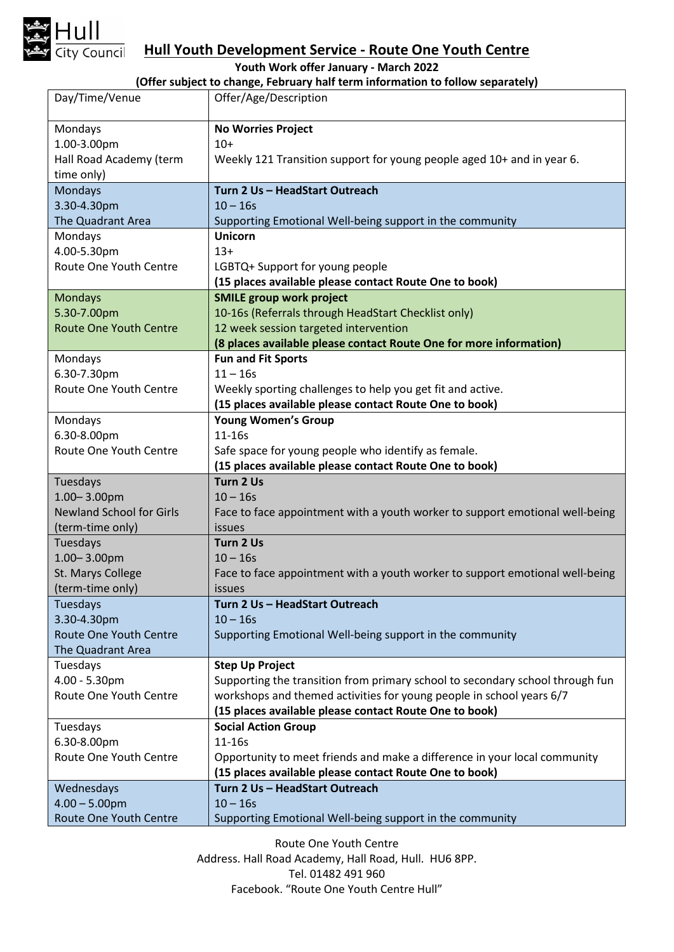

## **Hull Youth Development Service - Route One Youth Centre**

**Youth Work offer January - March 2022**

**(Offer subject to change, February half term information to follow separately)**

| Day/Time/Venue                          | Offer/Age/Description                                                                                                          |
|-----------------------------------------|--------------------------------------------------------------------------------------------------------------------------------|
| Mondays                                 | <b>No Worries Project</b>                                                                                                      |
| 1.00-3.00pm                             | $10+$                                                                                                                          |
| Hall Road Academy (term                 | Weekly 121 Transition support for young people aged 10+ and in year 6.                                                         |
| time only)                              |                                                                                                                                |
| Mondays                                 | Turn 2 Us - HeadStart Outreach                                                                                                 |
| 3.30-4.30pm                             | $10 - 16s$                                                                                                                     |
| The Quadrant Area                       | Supporting Emotional Well-being support in the community                                                                       |
| Mondays                                 | <b>Unicorn</b>                                                                                                                 |
| 4.00-5.30pm                             | $13+$                                                                                                                          |
| Route One Youth Centre                  | LGBTQ+ Support for young people                                                                                                |
|                                         | (15 places available please contact Route One to book)                                                                         |
| <b>Mondays</b>                          | <b>SMILE group work project</b>                                                                                                |
| 5.30-7.00pm                             | 10-16s (Referrals through HeadStart Checklist only)                                                                            |
| <b>Route One Youth Centre</b>           | 12 week session targeted intervention                                                                                          |
|                                         | (8 places available please contact Route One for more information)                                                             |
| Mondays                                 | <b>Fun and Fit Sports</b>                                                                                                      |
| 6.30-7.30pm                             | $11 - 16s$                                                                                                                     |
| Route One Youth Centre                  | Weekly sporting challenges to help you get fit and active.                                                                     |
|                                         | (15 places available please contact Route One to book)                                                                         |
| Mondays                                 | <b>Young Women's Group</b>                                                                                                     |
| 6.30-8.00pm                             | 11-16s                                                                                                                         |
| Route One Youth Centre                  | Safe space for young people who identify as female.                                                                            |
|                                         |                                                                                                                                |
|                                         | (15 places available please contact Route One to book)                                                                         |
| Tuesdays                                | Turn 2 Us                                                                                                                      |
| $1.00 - 3.00$ pm                        | $10 - 16s$                                                                                                                     |
| <b>Newland School for Girls</b>         | Face to face appointment with a youth worker to support emotional well-being                                                   |
| (term-time only)                        | <b>issues</b>                                                                                                                  |
| <b>Tuesdays</b>                         | Turn 2 Us                                                                                                                      |
| $1.00 - 3.00$ pm                        | $10 - 16s$                                                                                                                     |
| St. Marys College                       | Face to face appointment with a youth worker to support emotional well-being                                                   |
| (term-time only)                        | <i>issues</i>                                                                                                                  |
| Tuesdays                                | Turn 2 Us - HeadStart Outreach                                                                                                 |
| 3.30-4.30pm                             | $10 - 16s$                                                                                                                     |
| <b>Route One Youth Centre</b>           | Supporting Emotional Well-being support in the community                                                                       |
| The Quadrant Area                       |                                                                                                                                |
| Tuesdays                                | <b>Step Up Project</b>                                                                                                         |
| 4.00 - 5.30pm<br>Route One Youth Centre | Supporting the transition from primary school to secondary school through fun                                                  |
|                                         | workshops and themed activities for young people in school years 6/7<br>(15 places available please contact Route One to book) |
| Tuesdays                                | <b>Social Action Group</b>                                                                                                     |
| 6.30-8.00pm                             | 11-16s                                                                                                                         |
| Route One Youth Centre                  | Opportunity to meet friends and make a difference in your local community                                                      |
|                                         | (15 places available please contact Route One to book)                                                                         |
| Wednesdays                              | Turn 2 Us - HeadStart Outreach                                                                                                 |
| $4.00 - 5.00$ pm                        | $10 - 16s$                                                                                                                     |

Route One Youth Centre Address. Hall Road Academy, Hall Road, Hull. HU6 8PP. Tel. 01482 491 960 Facebook. "Route One Youth Centre Hull"